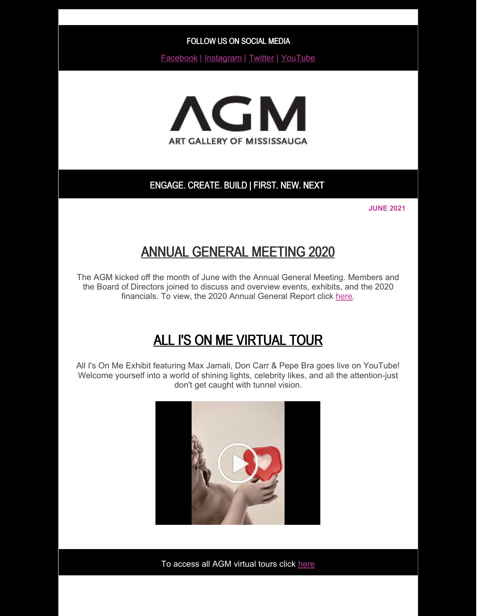FOLLOW US ON SOCIAL MEDIA

[Facebook](http://www.facebook.com/agmengage) | [Instagram](http://www.instagram.com/agmengage) | [Twitter](http://www.twitter.com/agmengage) | [YouTube](https://www.youtube.com/user/AGMEngage)



### ENGAGE. CREATE. BUILD | FIRST. NEW. NEXT

**JUNE 2021**

## ANNUAL GENERAL MEETING 2020

The AGM kicked off the month of June with the Annual General Meeting. Members and the Board of Directors joined to discuss and overview events, exhibits, and the 2020 financials. To view, the 2020 Annual General Report click [here](https://artgalleryofmississauga.com/wp-content/uploads/2021/06/Annual-Report-2020-1.pdf).

# ALL I'S ON ME VIRTUAL TOUR

All I's On Me Exhibit featuring Max Jamali, Don Carr & Pepe Bra goes live on YouTube! Welcome yourself into a world of shining lights, celebrity likes, and all the attention-just don't get caught with tunnel vision.



To access all AGM virtual tours click [here](https://www.youtube.com/user/AGMEngage)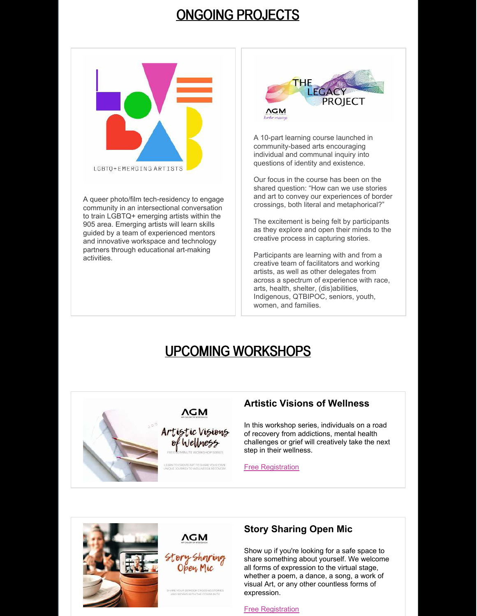## ONGOING PROJECTS



A queer photo/film tech-residency to engage community in an intersectional conversation to train LGBTQ+ emerging artists within the 905 area. Emerging artists will learn skills guided by a team of experienced mentors and innovative workspace and technology partners through educational art-making activities.



A 10-part learning course launched in community-based arts encouraging individual and communal inquiry into questions of identity and existence.

Our focus in the course has been on the shared question: "How can we use stories and art to convey our experiences of border crossings, both literal and metaphorical?"

The excitement is being felt by participants as they explore and open their minds to the creative process in capturing stories.

Participants are learning with and from a creative team of facilitators and working artists, as well as other delegates from across a spectrum of experience with race, arts, health, shelter, (dis)abilities, Indigenous, QTBIPOC, seniors, youth, women, and families.

# UPCOMING WORKSHOPS



### **Artistic Visions of Wellness**

In this workshop series, individuals on a road of recovery from addictions, mental health challenges or grief will creatively take the next step in their wellness.

[Free Registration](https://www.eventbrite.ca/e/artistic-visions-of-wellness-series-tickets-152419267131?aff=ebdsoporgprofile)





## **Story Sharing Open Mic**

Show up if you're looking for a safe space to share something about yourself. We welcome all forms of expression to the virtual stage, whether a poem, a dance, a song, a work of visual Art, or any other countless forms of expression.

[Free Registration](https://www.eventbrite.ca/e/story-sharing-open-mic-tickets-156984273187?aff=ebdsoporgprofile)